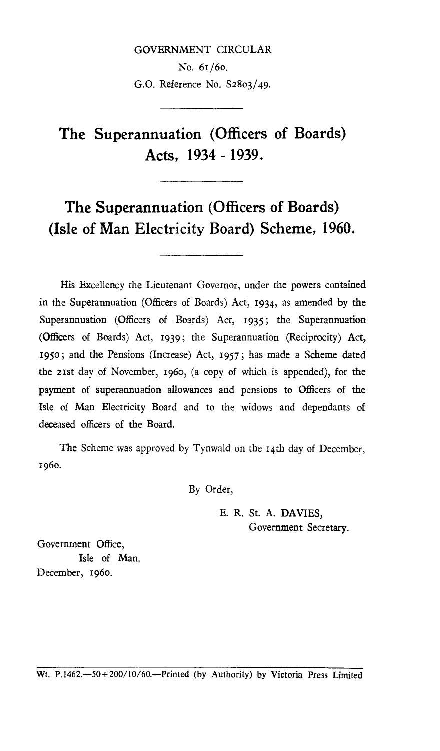# GOVERNMENT CIRCULAR

No. 61/6o. G.O. Reference No. S2803/49.

# **The Superannuation (Officers of Boards) Acts, 1934 - 1939.**

# **The Superannuation (Officers of Boards) (Isle of Man Electricity Board) Scheme, 1960.**

His Excellency the Lieutenant Governor, under the powers contained in the Superannuation (Officers of Boards) Act, 1934, as amended by the Superannuation (Officers of Boards) Act, 1935; the Superannuation (Officers of Boards) Act, 1939; the Superannuation (Reciprocity) Act, 195o; and the Pensions (Increase) Act, 1957; has made a Scheme dated the 21st day of November, 196o, (a copy of which is appended), for the payment of superannuation allowances and pensions to Officers of the Isle of Man Electricity Board and to the widows and dependants of deceased officers of the Board.

The Scheme was approved by Tynwald on the 14th day of December, 1960.

By Order,

E. R. St. A. DAVIES, Government Secretary.

Government Office, Isle of Man. December, 196o.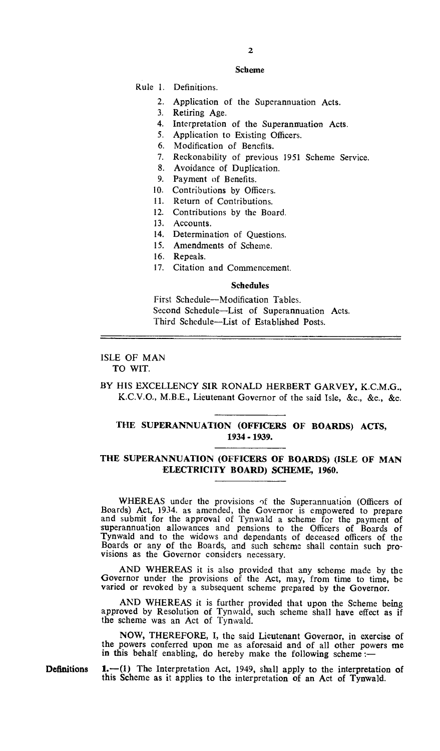#### Scheme

Rule 1. Definitions.

- 2. Application of the Superannuation Acts.
- 3. Retiring Age.
- 4. Interpretation of the Superannuation Acts.
- 5. Application to Existing Officers.
- 6. Modification of Benefits.
- 7. Reckonability of previous 1951 Scheme Service.
- 8. Avoidance of Duplication.
- 9. Payment of Benefits.
- 10. Contributions by Officers.
- 11. Return of Contributions.
- 12. Contributions by the Board.
- 13. Accounts.
- 14. Determination of Questions.
- 15. Amendments of Scheme.
- 16. Repeals.
- 17. Citation and Commencement.

#### Schedules

First Schedule—Modification Tables. Second Schedule—List of Superannuation Acts. Third Schedule—List of Established Posts.

#### ISLE OF MAN TO WIT.

# BY HIS EXCELLENCY SIR RONALD HERBERT GARVEY, K.C.M.G., K.C.V.O., M.B.E., Lieutenant Governor of the said Isle, &c., &c., &c.

## **THE SUPERANNUATION (OFFICERS OF BOARDS) ACTS, 1934 -1939.**

## **THE SUPERANNUATION (OFFICERS OF BOARDS) (ISLE OF MAN ELECTRICITY BOARD) SCHEME, 1960.**

WHEREAS under the provisions of the Superannuation (Officers of Boards) Act, 1934. as amended, the Governor is empowered to prepare and submit for the approval of Tynwald a scheme for the payment of superannuation allowances and pensions to the Officers of Boards of Tynwald and to the widows and dependants of deceased officers of the Boards or any of the Boards, and such scheme shall contain such provisions as the Governor considers necessary.

AND WHEREAS it is also provided that any scheme made by the Governor under the provisions of the Act, may, from time to time, be varied or revoked by a subsequent scheme prepared by the Governor.

AND WHEREAS it is further provided that upon the Scheme being approved by Resolution of Tynwald, such scheme shall have effect as if the scheme was an Act of Tynwald.

**NOW,** THEREFORE, I, the said Lieutenant Governor, in exercise of the powers conferred upon me as aforesaid and of all other powers me in this behalf enabling, do hereby make the following scheme  $:$ 

Definitions **1.—(1) The** Interpretation Act, 1949, shall apply to the interpretation of this Scheme as it applies to the interpretation of an Act of **Tynwald.**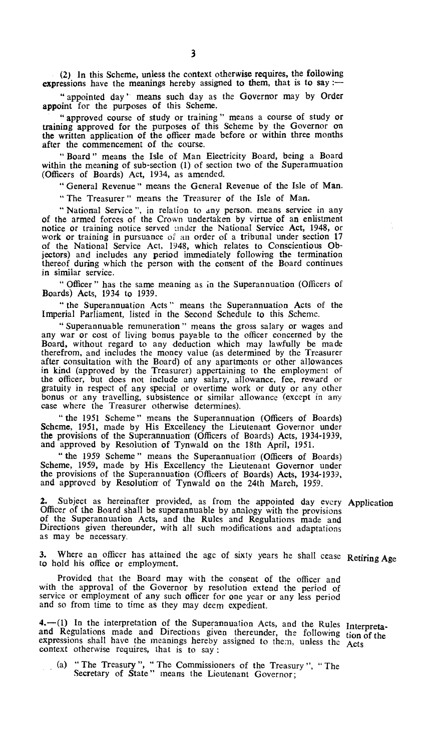(2) In this Scheme, unless the context otherwise requires, the following expressions have the meanings hereby assigned to them, that is to say :-

" appointed day ' means such day as the Governor may by Order appoint for the purposes of this Scheme.

" approved course of study or training " means a course of study or training approved for the purposes of this Scheme by the Governor on the written application of the officer made before or within three months after the commencement of the course.

" Board " means the Isle of Man Electricity Board, being a Board within the meaning of sub-section (1) of section two of the Superannuation (Officers of Boards) Act, 1934, as amended.

" General Revenue " means the General Revenue of the Isle of Man.

" The Treasurer " means the Treasurer of the Isle of Man.

"National Service", in relation to any person. means service in any of the armed forces of the Crown undertaken by virtue of an enlistment notice or training notice served under the National Service Act, 1948, or work or training in pursuance of an order of a tribunal under section 17 of the National Service Act, 1948, which relates to Conscientious Objectors) and includes any period immediately following the termination thereof during which the person with the consent of the Board continues in similar service.

" Officer " has the same meaning as in the Superannuation (Officers of Boards) Acts, 1934 to 1939.

" the Superannuation Acts " means the Superannuation Acts of the Imperial Parliament, listed in the Second Schedule to this Scheme.

" Superannuable remuneration " means the gross salary or wages and any war or cost of living bonus payable to the officer concerned by the Board, without regard to any deduction which may lawfully be made therefrom, and includes the money value (as determined by the Treasurer after consultation with the Board) of any apartments or other allowances in kind (approved by the Treasurer) appertaining to the employment of the officer, but does not include any salary, allowance, fee, reward or gratuity in respect of any special or overtime work or duty or any other bonus or any travelling, subsistence or similar allowance (except in any case where the Treasurer otherwise determines).

" the 1951 Scheme " means the Superannuation (Officers of Boards) Scheme, 1951, made by His Excellency the Lieutenant Governor under the provisions of the Superannuation (Officers of Boards) Acts, 1934-1939, and approved by Resolution of Tynwald on the 18th April, 1951.

" the 1959 Scheme " means the Superannuation (Officers of Boards) Scheme, 1959, made by His Excellency the Lieutenant Governor under the provisions of the Superannuation (Officers of Boards) Acts, 1934-1939, and approved by Resolution of Tynwald on the 24th March, 1959.

2. Subject as hereinafter provided, as from the appointed day every Application Officer of the Board shall be superannuable by analogy with the provisions of the Superannuation Acts, and the Rules and Regulations made and Directions given thereunder, with all such modifications and adaptations as may be necessary.

**3.** Where an officer has attained the age of sixty years he shall cease Retiring Age to hold his office or employment.

Provided that the Board may with the consent of the officer and with the approval of the Governor by resolution extend the period of service or employment of any such officer for one year or any less period and so from time to time as they may deem expedient.

**4.—(1)** In the interpretation of the Superannuation Acts, and the Rules Interpretaand Regulations made and Directions given thereunder, the following tion of the expressions shall have the meanings hereby assigned to them, unless the Acts context otherwise requires, that is to say :

(a) " The Treasury ", " The Commissioners of the Treasury ", " The Secretary of State" means the Lieutenant Governor;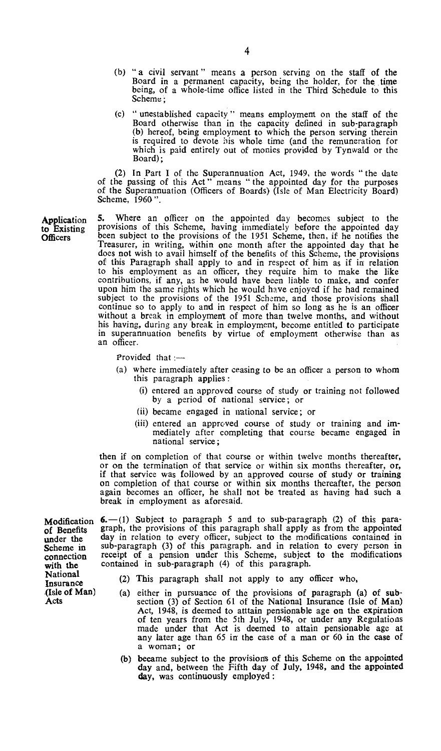- (b) " a civil servant " means a person serving on the staff of the Board in a permanent capacity, being the holder, for the time being, of a whole-time office listed in the Third Schedule to this Scheme;
- (c) " unestablished capacity " means employment on the staff of the Board otherwise than in the capacity defined in sub-paragraph (b) hereof, being employment to which the person serving therein is required to devote iiis whole time (and the remuneration for which is paid entirely out of monies provided by Tynwald or the Board);

(2) In Part I of the Superannuation Act, 1949, the words " the date of the passing of this Act " means " the appointed day for the purposes of the Superannuation (Officers of Boards) (Isle of Man Electricity Board) Scheme, 1960".

**5.** Where an officer on the appointed day becomes subject to the provisions of this Scheme, having immediately before the appointed day been subject to the provisions of the 1951 Scheme, then, if he notifies the Treasurer, in writing, within one month after the appointed day that he does not wish to avail himself of the benefits of this Scheme, the provisions of this Paragraph shall apply to and in respect of him as if in relation to his employment as an officer, they require him to make the like contributions, if any, as he would have been liable to make, and confer upon him the same rights which he would have enjoyed if he had remained subject to the provisions of the 1951 Scheme, and those provisions shall continue so to apply to and in respect of him so long as he is an officer without a break in employment of more than twelve months, and without his having, during any break in employment, become entitled to participate in superannuation benefits by virtue of employment otherwise than as an officer.

Provided that  $:=$ 

- (a) where immediately after ceasing to be an officer a person to whom this paragraph applies :
	- (i) entered an approved course of study or training not followed by a period of national service; or
	- (ii) became engaged in national service; or
	- (iii) entered an approved course of study or training and immediately after completing that course became engaged in national service;

then if on completion of that course or within twelve months thereafter, or on the termination of that service or within six months thereafter, or, if that service was followed by an approved course of study or training on completion of that course or within six months thereafter, the person again becomes an officer, he shall not be treated as having had such a break in employment as aforesaid.

**Modification 6.**—(1) Subject to paragraph 5 and to sub-paragraph (2) of this para-<br>of Benefits graph, the provisions of this paragraph shall apply as from the appointed of Benefits graph, the provisions of this paragraph shall apply as from the appointed under the day in relation to every officer, subject to the modifications contained in under the day in relation to every officer, subject to the modifications contained in Scheme in sub-paragraph (3) of this paragraph. and in relation to every person in Scheme in sub-paragraph (3) of this paragraph. and in relation to every person in connection receipt of a pension under this Scheme, subject to the modifications with the contained in sub-paragraph (4) of this paragraph.

- National<br>Insurance (2) This paragraph shall not apply to any officer who,<br>(Isle of Man) (a) either in pursuance of the provisions of paragraph (
- (Isle of Man) (a) either in pursuance of the provisions of paragraph (a) of sub-Acts section (3) of Section 61 of the National Insurance (Isle of Man) Act, 1948, is deemed to atttain pensionable age on the expiration of ten years from the 5th July, 1948, or under any Regulations made under that Act is deemed to attain pensionable age at any later age than 65 in the case of a man or 60 in the case of a woman; or
	- (b) became subject to the provisions of this Scheme on the appointed day and, between the Fifth day of July, 1948, and the appointed day, was continuously employed :

Application to Existing **Officers** 

National<br>Insurance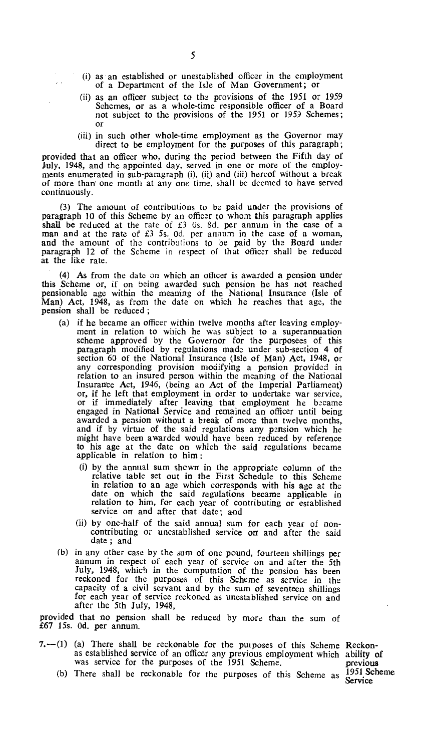- (i) as an established or unestablished officer in the employment of a Department of the Isle of Man Government; or
- (ii) as an officer subject to the provisions of the 1951 or 1959 Schemes, or as a whole-time responsible officer of a Board not subject to the provisions of the 1951 or 1959 Schemes; or
- (iii) in such other whole-time employment as the Governor may direct to be employment for the purposes of this paragraph;

provided that an officer who, during the period between the Fifth day of July, 1948, and the appointed day, served in one or more of the employments enumerated in' sub-paragraph (i), (ii) and (iii) hereof without a break of more than' one month at any one time, shall be deemed to have served continuously.

(3) The amount of contributions to be paid under the provisions of paragraph 10 of this Scheme by an officer to whom this paragraph applies shall be reduced at the rate of  $£3$  Us. 8d. per annum in the case of a man and at the rate of £3 5s. Od. per amnum in the case of a woman, and the amount of the contributions to be paid by the Board under paragraph 12 of the Scheme in respect of that officer shall be reduced at the like rate.

(4) As from the date on which an officer is awarded a pension under this Scheme or, if on being awarded such pension he has not reached pensionable age within the meaning of the National Insurance (Isle of Man) Act, 1948, as from the date on which he reaches that age, the pension shall be reduced ;

- (a) if he became an officer within twelve months after leaving employment in relation to which he was subject to a superannuation scheme approved by the Governor for the purposees of this paragraph modified by regulations made under sub-section 4 of section 60 of the National Insurance (Isle of Man) Act, 1948, or any corresponding provision modifying a pension provided in relation to an insured person within the meaning of the National Insurance Act, 1946, (being an Act of the Imperial Parliament) or, if he left that employment in order to undertake war service, or if immediately after leaving that employment he became engaged in National Service and remained an officer until being awarded a pension without a break of more than twelve months, and if by virtue of the said regulations any pension which he might have been awarded would have been reduced by reference to his age at the date on which the said regulations became applicable in relation to him
	- (i) by the annual sum shown in the appropriate column of the relative table set out in the First Schedule to this Scheme in relation to an age which corresponds with his age at the date on which the said regulations became applicable in relation to him, for each year of contributing or established service on and after that date; and
	- (ii) by one-half of the said annual sum for each year of noncontributing or unestablished service on and after the said date ; and
- (b) in any other case by the sum of one pound, fourteen shillings per annum in respect of each year of service on and after the 5th July, 1948, which in the computation of the pension has been reckoned for the purposes of this Scheme as service in the capacity of a civil servant and by the sum of seventeen shillings for each year of service reckoned as unestablished service on and after the 5th July, 1948,

provided that no pension shall be reduced by more than the sum of £67 15s. Od. per annum.

7.—(1) (a) There shall be reckonable for the purposes of this Scheme Reckonas established service of an officer any previous employment which ability **of**  was service for the purposes of the 1951 Scheme. previous

Service

(b) There shall be reckonable for the purposes of this Scheme as 1951 Scheme

 $\mathbb{R}^2$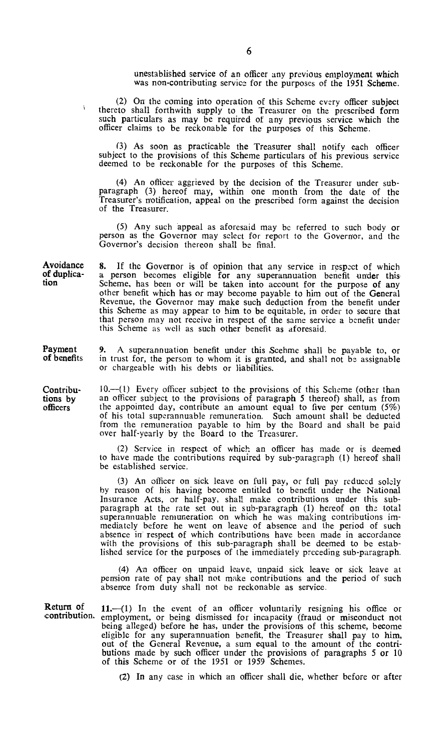unestablished service of an officer any previous employment which was non-contributing service for the purposes of the 1951 Scheme.

(2) On the coming into operation of this Scheme every officer subject thereto shall forthwith supply to the Treasurer on the prescribed form such particulars as may be required of any previous service which the officer claims to be reckonable for the purposes of this Scheme.

(3) As soon as practicable the Treasurer shall notify each officer subject to the provisions of this Scheme particulars of his previous service deemed to be reckonable for the purposes of this Scheme.

(4) An officer aggrieved by the decision of the Treasurer under subparagraph (3) hereof may, within one month from the date of the Treasurer's notification, appeal on the prescribed form against the decision of the Treasurer.

(5) Any such appeal as aforesaid may be referred to such body or person as the Governor may select for report to the Governor, and the Governor's decision thereon shall be final.

Avoidance 8. If the Governor is of opinion that any service in respect of which of duplica- a person becomes eligible for any superannuation benefit under this tion Scheme, has been or will be taken into account for the purpose of any other benefit which has or may become payable to him out of the General Revenue, the Governor may make such deduction from the benefit under this Scheme as may appear to him to be equitable, in order to secure that that person may not receive in respect of the same service a benefit under this Scheme as well as such other benefit as aforesaid.

**9.** A superannuation benefit under this Scehme shall be payable to, or in trust for, the person to whom it is granted, and shall not be assignable or chargeable with his debts or liabilities.

10.—(I) Every officer subject to the provisions of this Scheme (other than an officer subject to the provisions of paragraph 5 thereof) shall, as from the appointed day, contribute an amount equal to five per centum (5%) of his total superannuable remuneration. Such amount shall be deducted from the remuneration payable to him by the Board and shall be paid over half-yearly by the Board to the Treasurer.

(2) Service in respect of which an officer has made or is deemed to have made the contributions required by sub-paragraph (1) hereof shall be established service.

(3) An officer on sick leave on full pay, or full pay reduced solely by reason of his having become entitled to benefit under the National Insurance Acts, or half-pay, shall make contributions under this subparagraph at the rate set out in sub-paragraph (1) hereof on the total superannuable remuneration on which he was making contributions immediately before he went on leave of absence and the period of such absence in respect of which contributions have been made in accordance with the provisions of this sub-paragraph shall be deemed to be established service for the purposes of the immediately preceding sub-paragraph.

(4) An officer on unpaid leave, unpaid sick leave or sick leave at pension rate of pay shall not make contributions and the period of such absence from duty shall not be reckonable as service.

**contribution. 11.—(1)** In the event of an officer voluntarily resigning his office or employment, or being dismissed for incapacity (fraud or misconduct not being alleged) before he has, under the provisions of this scheme, become eligible for any superannuation benefit, the Treasurer shall pay to him, out of the General Revenue, a sum equal to the amount of the contributions made by such officer under the provisions of paragraphs 5 or 10 of this Scheme or of the 1951 or 1959 Schemes.

(2) In any case in which an officer shall die, whether before or after

**Payment of benefits** 

**Contributions by officers** 

**Return of**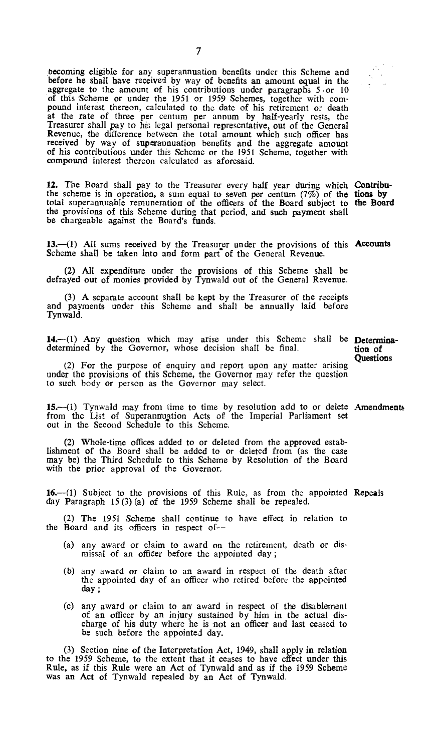becoming eligible for any superannuation benefits under this Scheme and before he shall have received by way of benefits an amount equal in the aggregate to the amount of his contributions under paragraphs 5 or 10 of this Scheme or under the 1951 or 1959 Schemes, together with compound interest thereon, calculated to the date of his retirement or death at the rate of three per centum per annum by half-yearly rests, the Treasurer shall pay to his legal personal representative, out of the General Revenue, the difference between the total amount which such officer has received by way of superannuation benefits and the aggregate amount of his contributions under this Scheme or the 1951 Scheme, together with compound interest thereon calculated as aforesaid.

**12.** The Board shall pay to the Treasurer every half year during which **Contribu**the scheme is in operation, a sum equal to seven per centum (7%) of **the lions by**  total superannuable remuneration of the officers of **the** Board subject to **the Board the** provisions of this Scheme during that period, and **such payment shall be** chargeable against the Board's funds.

13. (1) All sums received by the Treasurer under the provisions of this **Accounts** Scheme shall be taken into and form part of the General Revenue.

(2) All expenditure under the provisions of this Scheme shall be defrayed out of monies provided by Tynwald out of the General Revenue.

(3) A separate account shall be kept by the Treasurer of the receipts and payments under this Scheme and shall be annually laid before Tynwald.

14.—(1) Any question which may arise under this Scheme shall be **Determina-**<br>determined by the Governor, whose decision shall be final. **the unitary of** determined by the Governor, whose decision shall be final.

**Questions** 

 $\frac{1}{2}$ 

(2) For the purpose of enquiry and report upon any matter arising under the provisions of this Scheme, the Governor may refer the question to such body or person as the Governor may select.

**15.—(l)** Tynwald may from time to time by resolution add to or delete **Amendments**  from the List of Superannuation Acts of the Imperial Parliament set out in the Second Schedule to this Scheme.

(2) Whole-time offices added to or deleted from the approved establishment of the Board shall be added to or deleted from (as the case may be) the Third Schedule to this Scheme by Resolution of the Board with the prior approval of the Governor.

16.—(1) Subject to the provisions of this Rule, as from the appointed Repeals day Paragraph 15 (3) (a) of the 1959 Scheme shall be repealed.

(2) The 1951 Scheme shall continue to have effect in relation to the Board and its officers in respect of—

- (a) any award or claim to award on the retirement, death or dismissal of an officer before the appointed day ;
- (b) any award or claim to an award in respect of the death after the appointed day of an officer who retired before the appointed daY ;
- (c) any award or claim to an' award in respect of the disablement of an officer by an injury sustained by him in the actual discharge of his duty where he is not an officer and last ceased to be such before the appointed day.

(3) Section nine of the Interpretation Act, 1949, shall apply in relation to the 1959 Scheme, to the extent that it ceases to have effect under this **Rule,** as if this Rule were an Act of Tynwald and as if the 1959 Scheme was an Act of Tynwald repealed by an Act of Tynwald.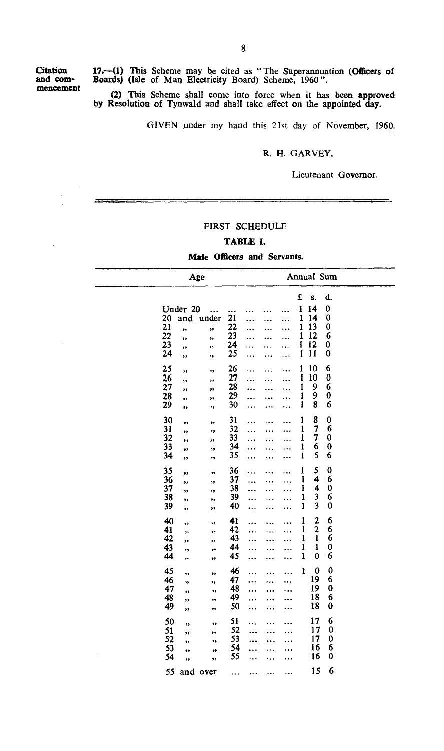**mencement** 

**Citation 17.—(1) This Scheme may** *be* **cited as "The Superannuation (Officers of and corn- Boards) (Isle of Man Electricity Board) Scheme, 1960".** 

> **(2) This Scheme shall come into force when it has been approved by Resolution of Tynwald and shall take effect on the appointed day.**

> > GIVEN under my hand this 21st day of November, 1960.

#### **R. H.** GARVEY,

#### Lieutenant **Governor.**

#### **FIRST SCHEDULE**

## **TABLE I.**

#### **Male Officers and Servants.**

|                                                      | Age                                                                      |                                              |   |                                       | Annual Sum                                                        |                                  |  |
|------------------------------------------------------|--------------------------------------------------------------------------|----------------------------------------------|---|---------------------------------------|-------------------------------------------------------------------|----------------------------------|--|
| 20<br>21<br>$\overline{22}$<br>23<br>$\overline{24}$ | Under 20<br>under<br>and<br>,,<br>,,<br>,,<br>,,<br>,,<br>,,<br>,,<br>,, | <br>21<br>22<br>23<br>24<br>25<br>.          |   | £<br>1<br>ı<br>1<br>1<br>1<br>1<br>.  | S.<br>14<br>14<br>13<br>12<br>12<br>11                            | d.<br>0<br>0<br>0<br>6<br>0<br>0 |  |
| 25<br>26<br>27<br>28<br>29                           | ,,<br>,,<br>,,<br>'n<br>,,<br>,,<br>,,<br>,,<br>,,<br>,,                 | 26<br>.<br>27<br>28<br>29<br>30              | . | 1<br>.<br>1<br>1<br>1<br>$\mathbf{1}$ | 10<br>10<br>9<br>9<br>8                                           | 6<br>$\bf{0}$<br>6<br>0<br>6     |  |
| 30<br>31<br>32<br>33<br>34                           | ,,<br>,,<br>٠,<br>,,<br>,,<br>,,<br>,,<br>,,<br>٠,<br>,,                 | 31<br>32<br>$\ddotsc$<br>33<br>34<br>35<br>. |   | 1<br>1<br>1<br>ı<br>1                 | 8<br>7<br>7<br>6<br>5                                             | 0<br>6<br>$\mathbf 0$<br>0<br>6  |  |
| 35<br>36<br>37<br>38<br>39                           | ,,<br>,,<br>,,<br>,,<br>,,<br>,,<br>,,<br>,,<br>,,<br>,,                 | 36<br>37<br>38<br>39<br>40<br>               |   | 1<br>1<br>1<br>1<br>1                 | 5<br>4<br>4<br>3<br>3                                             | 0<br>6<br>0<br>6<br>$\mathbf 0$  |  |
| 40<br>41<br>42<br>43<br>44                           | ,,<br>,,<br>,,<br>,,<br>,,<br>,,<br>,,<br>,,<br>,,<br>,,                 | 41<br><br>42<br>43<br>44<br>45               | . | 1<br>$\mathbf{1}$<br>1<br>1<br>1      | $\overline{a}$<br>$\overline{2}$<br>1<br>$\mathbf{1}$<br>$\bf{0}$ | 6<br>6<br>6<br>0<br>6            |  |
| 45<br>46<br>47<br>48<br>49                           | ,,<br>,,<br>٠,<br>,,<br>,,<br>,,<br>,,<br>,,<br>,,<br>,,                 | 46<br>47<br>.<br>48<br>49<br>.<br>50         |   | ı                                     | $\bf{0}$<br>19<br>19<br>18<br>18                                  | 0<br>6<br>0<br>6<br>0            |  |
| 50<br>51<br>52<br>53<br>54                           | ,,<br>,,<br>,,<br>,,<br>,,<br>,,<br>,,<br>"<br>,,<br>,,                  | 51<br>52<br>53<br>54<br>55                   |   |                                       | 17<br>17<br>17<br>16<br>16                                        | 6<br>0<br>0<br>6<br>0            |  |
| 55                                                   | and over                                                                 | .<br>                                        | . |                                       | 15                                                                | 6                                |  |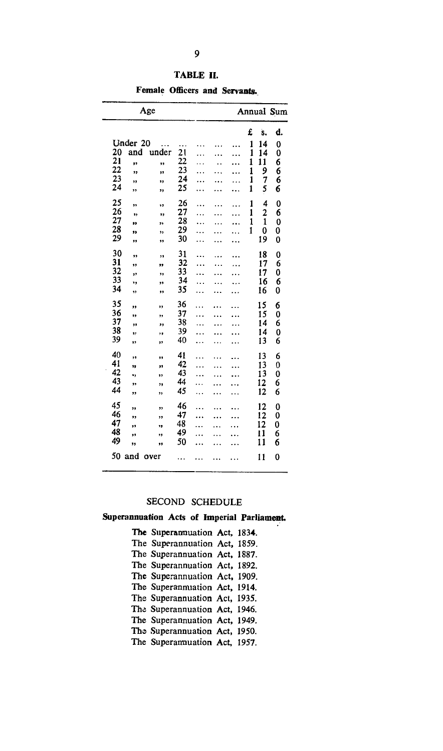| Age                |           |          |           |           |                      |        |               | Annual Sum |
|--------------------|-----------|----------|-----------|-----------|----------------------|--------|---------------|------------|
|                    |           |          |           |           |                      |        |               |            |
|                    |           |          |           |           |                      | £      | s.            | d.         |
| Under 20           | $\ddotsc$ |          |           |           |                      | 1      | 14            | 0          |
| 20<br>and          | under     | 21       | .         |           | .                    | 1      | 14            | 0          |
| 21<br>,,<br>22     | ,,        | 22<br>23 | .         |           | $\cdots$             | 1      | $\mathbf{11}$ | 6          |
| ,,<br>23           | 11        | 24       |           |           | $\ddotsc$            | 1<br>1 | 9<br>7        | 6<br>6     |
| ,,<br>24           | ,,        | 25       |           |           |                      | 1      | 5             | 6          |
| ,,                 | ,,        |          |           |           | $\ddot{\phantom{a}}$ |        |               |            |
| 25<br>,,           | ۰,        | 26       |           |           | .                    | 1      | 4             | 0          |
| 26<br>$^{\bullet}$ | 11        | 27       | .         | .         | .                    | 1      | 2             | 6          |
| 27<br>99<br>28     | ,,        | 28       | .         | $\ddotsc$ |                      | 1      | 1             | 0          |
| ,,<br>29           | ,,        | 29<br>30 |           |           | $\ddotsc$            | 1      | 0             | 0          |
|                    | 11        |          |           |           |                      |        | 19            | 0          |
| 30<br>,,           | ,,        | 31       |           |           |                      |        | 18            | 0          |
| 31<br>,,           | ,,        | 32       | .         | .         | .                    |        | 17            | 6          |
| 32<br>12           | ,,        | 33       | .         | .         | .                    |        | 17            | 0          |
| 33<br>٠,           | 33        | 34       | .         |           | .                    |        | 16            | 6          |
| 34<br>,,           | ٠,        | 35       |           |           | .                    |        | 16            | 0          |
| 35<br>,,           | ,,        | 36       | $\ddotsc$ |           |                      |        | 15            | 6          |
| 36<br>,,           | ٠,        | 37       | $\ddotsc$ |           | .                    |        | 15            | 0          |
| 37<br>,,           | ,,        | 38       | $\ddotsc$ |           |                      |        | 14            | 6          |
| 38<br>,,           | ,,        | 39       | .         |           | .                    |        | 14            | 0          |
| 39<br>,,           | ,,        | 40       | .         | .         | .                    |        | 13            | 6          |
| 40<br>,,           | ,,        | 41       | .         |           |                      |        | 13            | 6          |
| 41<br>12           | ,,        | 42       |           |           | .                    |        | 13            | 0          |
| 42<br>٠,           | ,,        | 43       |           |           | .                    |        | 13            | 0          |
| 43<br>٠,           | ٠.        | 44       |           |           |                      |        | 12            | 6          |
| 44<br>,,           | ,,        | 45       | .         | .         |                      |        | 12            | 6          |
| 45<br>,,           | ,,        | 46       | .         |           |                      |        | 12            | 0          |
| 46<br>,,           | ,,        | 47       | .         |           |                      |        | 12            | 0          |
| 47<br>,,           | ٠,        | 48       | .         |           |                      |        | 12            | 0          |
| 48<br>,,           | ,,        | 49       | .         |           | . .                  |        | 11            | 6          |
| 49<br>,,           | ,,        | 50       | .         |           | .                    |        | 11            | 6          |
| 50 and             | over      |          |           |           |                      |        | 11            | 0          |

**TABLE II.** 

**Female Officers and Servants.** 

#### **SECOND SCHEDULE**

#### **Superannuation Acts of Imperial Parliament.**

**The Superannuation Act, 1834. The Superannuation Act, 1859. The Superannuation Act, 1887. The Superannuation Act, 1892. The Superannuation Act, 1909. The Superannuation Act, 1914. The Superannuation Act, 1935. Tha Superannuation Act, 1946. The Superannuation Act, 1949.**  The Superannuation Act, 1950. **The Superannuation Act, 1957.**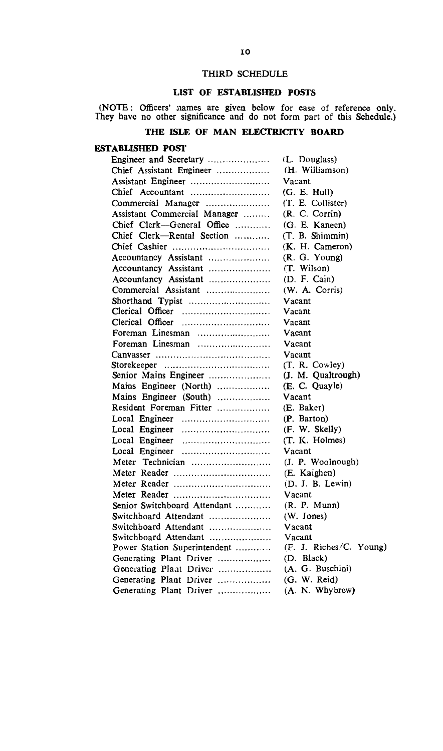#### THIRD SCHEDULE

## LIST OF ESTABLISHED POSTS

(NOTE : Officers' names are given below for ease of reference only. They have no other significance and do not form part of this Schedule.)

## **THE ISLE OF MAN ELECTRICITY BOARD**

## **ESTABLISHED POST**

| Engineer and Secretary       | (L. Douglass)                        |  |  |  |  |
|------------------------------|--------------------------------------|--|--|--|--|
| Chief Assistant Engineer     | (H. Williamson)                      |  |  |  |  |
| Assistant Engineer           | Vacant                               |  |  |  |  |
| Chief Accountant             | (G. E. Hull)                         |  |  |  |  |
| Commercial Manager           | (T. E. Collister)                    |  |  |  |  |
| Assistant Commercial Manager | (R. C. Corrin)                       |  |  |  |  |
| Chief Clerk-General Office   | (G. E. Kaneen)                       |  |  |  |  |
| Chief Clerk-Rental Section   | (T. B. Shimmin)                      |  |  |  |  |
|                              | (K. H. Cameron)                      |  |  |  |  |
| Accountancy Assistant        | (R. G. Young)                        |  |  |  |  |
| Accountancy Assistant        | (T. Wilson)                          |  |  |  |  |
| Accountancy Assistant        | (D. F. Cain)                         |  |  |  |  |
| Commercial Assistant         | (W. A. Corris)                       |  |  |  |  |
| Shorthand Typist             | Vacant                               |  |  |  |  |
|                              | Vacant                               |  |  |  |  |
|                              | Vacant                               |  |  |  |  |
| Foreman Linesman             | Vacant                               |  |  |  |  |
| Foreman Linesman             | Vacant                               |  |  |  |  |
|                              | Vacant                               |  |  |  |  |
|                              | (T. R. Cowley)                       |  |  |  |  |
| Senior Mains Engineer        | (J. M. Qualtrough)                   |  |  |  |  |
| Mains Engineer (North)       | (E. C. Quayle)                       |  |  |  |  |
| Mains Engineer (South)       | Vacant                               |  |  |  |  |
| Resident Foreman Fitter      | (E. Baker)                           |  |  |  |  |
|                              | (P. Barton)                          |  |  |  |  |
|                              | (F. W. Skelly)                       |  |  |  |  |
| Local Engineer               | (T. K. Holmes)                       |  |  |  |  |
|                              | Vacant                               |  |  |  |  |
| Meter Technician             | (J. P. Woolnough)                    |  |  |  |  |
| Meter Reader                 | (E. Kaighen)                         |  |  |  |  |
| Meter Reader                 | (D. J. B. Lewin)                     |  |  |  |  |
|                              | Vacant                               |  |  |  |  |
| Senior Switchboard Attendant | (R. P. Mun)                          |  |  |  |  |
| Switchboard Attendant        | (W. Jones)                           |  |  |  |  |
| Switchboard Attendant        | Vacant                               |  |  |  |  |
| Switchboard Attendant        | Vacant                               |  |  |  |  |
| Power Station Superintendent | (F. J. Riches <sup>/</sup> C. Young) |  |  |  |  |
| Generating Plant Driver      | (D. Black)                           |  |  |  |  |
| Generating Plant Driver      | (A. G. Buschini)                     |  |  |  |  |
| Generating Plant Driver      | (G. W. Reid)                         |  |  |  |  |
| Generating Plant Driver      | (A. N. Whybrew)                      |  |  |  |  |